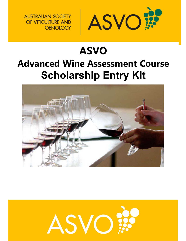

# **ASVO Advanced Wine Assessment Course Scholarship Entry Kit**

**AUSTRALIAN SOCIETY** OF VITICULTURE AND

**OENOLOGY** 



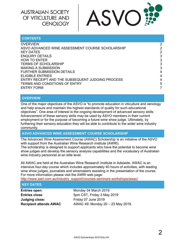

| <b>CONTENTS</b>                                  |   |
|--------------------------------------------------|---|
| OVERVIEW                                         | 2 |
| ASVO ADVANCED WINE ASSESSMENT COURSE SCHOLARSHIP | 2 |
| <b>KEY DATES</b>                                 | 2 |
| <b>ENQUIRY DETAILS</b>                           | 3 |
| <b>HOW TO ENTER</b>                              | 3 |
| <b>TERMS OF SCHOLARSHIP</b>                      | 3 |
| <b>MAKING A SUBMISSION</b>                       | 3 |
| <b>FURTHER SUBMISSION DETAILS</b>                | 4 |
| <b>ELIGIBLE ENTRIES</b>                          | 4 |
| ENTRY RECEIPT AND THE SUBSEQUENT JUDGING PROCESS | 4 |
| <b>TERMS AND CONDITIONS OF ENTRY</b>             | 5 |
| <b>ENTRY FORM</b>                                |   |

#### **OVERVIEW**

One of the major objectives of the ASVO is "to promote education in viticulture and oenology and help ensure and maintain the highest standards of quality for such educational objectives". One area of interest is the ongoing development of advanced sensory skills. Advancement of these sensory skills may be used by ASVO members in their current employment or for the purpose of becoming a future wine show judge. Ultimately, by furthering their sensory education they will be able to contribute to the wider wine industry community.

**ASVO ADVANCED WINE ASSESSMENT COURSE SCHOLARSHIP** 

The Advanced Wine Assessment Course (AWAC) Scholarship is an initiative of the ASVO with support from the Australian Wine Research institute (AWRI).

The scholarship is designed to support applicants who have the potential to become wine show judges and develop the sensory analysis capabilities and the vocabulary of Australian wine industry personnel at an elite level.

All AWAC are held at the Australian Wine Research Institute in Adelaide. AWAC is an intensive four-day course which includes approximately 40 hours of activities, with leading wine show judges, journalists and winemakers assisting in the presentation of the course. For more information please visit the AWRI web page:

http://www.awri.com.au/industry\_support/courses-seminars-workshops/awac/

#### **KEY DATES**

**Judging close:** Friday 07 June 2019

**Entries open:** Monday 04 March 2019 **Entries close:** 5pm CST, Friday 3 May 2019 **Recipient attends AWAC** AWAC 49: Monday 20 – 23 May 2019.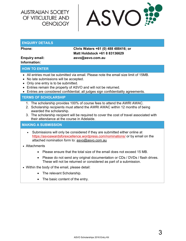

#### **ENQUIRY DETAILS**

# **Information:**

**Phone: Chris Waters +61 (0) 488 488416; or Matt Holdstock +61 8 83136629 Enquiry email: asvo@asvo.com.au** 

#### **HOW TO ENTER**

- All entries must be submitted via email. Please note the email size limit of 15MB.
- No late submissions will be accepted.
- Only one entry is to be submitted.
- Entries remain the property of ASVO and will not be returned.
- Entries are considered confidential; all judges sign confidentiality agreements.

#### **TERMS OF SCHOLARSHIP**

- 1. The scholarship provides 100% of course fees to attend the AWRI AWAC.
- 2. Scholarship recipients must attend the AWRI AWAC within 12 months of being awarded the scholarship.
- 3. The scholarship recipient will be required to cover the cost of travel associated with their attendance at the course in Adelaide.

#### **MAKING A SUBMISSION**

- Submissions will only be considered if they are submitted either online at https://asvoawardsforexcellence.wordpress.com/nominations/ or by email on the attached nomination form to: asvo@asvo.com.au
- Attachments
	- Please ensure that the total size of the email does not exceed 15 MB.
	- Please do not send any original documentation or CDs / DVDs / flash drives. These will not be returned or considered as part of a submission.
- Within the body of the email, please detail:
	- The relevant Scholarship.
	- The basic content of the entry.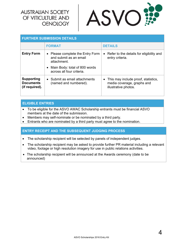

| <b>FURTHER SUBMISSION DETAILS</b>                       |                                                                                                                                           |                                                                                             |  |  |
|---------------------------------------------------------|-------------------------------------------------------------------------------------------------------------------------------------------|---------------------------------------------------------------------------------------------|--|--|
|                                                         | <b>FORMAT</b>                                                                                                                             | <b>DETAILS</b>                                                                              |  |  |
| <b>Entry Form</b>                                       | • Please complete the Entry Form<br>and submit as an email<br>attachment.<br>• Main Body: total of 800 words<br>across all four criteria. | • Refer to the details for eligibility and<br>entry criteria.                               |  |  |
| <b>Supporting</b><br><b>Documents</b><br>(if required). | • Submit as email attachments<br>(named and numbered).                                                                                    | • This may include proof, statistics,<br>media coverage, graphs and<br>illustrative photos. |  |  |

#### **ELIGIBLE ENTRIES**

- To be eligible for the ASVO AWAC Scholarship entrants must be financial ASVO members at the date of the submission.
- Members may self-nominate or be nominated by a third party.
- Entrants who are nominated by a third party must agree to the nomination.

#### **ENTRY RECEIPT AND THE SUBSEQUENT JUDGING PROCESS**

- The scholarship recipient will be selected by panels of independent judges.
- The scholarship recipient may be asked to provide further PR material including a relevant video, footage or high resolution imagery for use in public relations activities.
- The scholarship recipient will be announced at the Awards ceremony (date to be announced)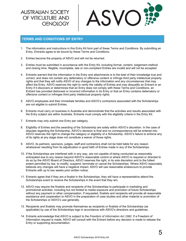

#### **TERMS AND CONDITIONS OF ENTRY**

- 1. The information and instructions in this Entry Kit form part of these Terms and Conditions. By submitting an Entry, Entrants agree to be bound by these Terms and Conditions.
- 2. Entries become the property of ASVO and will not be returned.
- 3. Entries must be submitted in accordance with the Entry Kit, including format, content, lodgement method and closing time. Illegible, incomplete, late or non-compliant Entries are invalid and will not be accepted.
- 4. Entrants warrant that the information in the Entry and attachments is to the best of their knowledge true and correct, and does not contain any defamatory or offensive content or infringe third party intellectual property rights and that they will notify ASVO of any changes to the information and any circumstances that may affect the Entry. ASVO reserves the right to verify the validity of Entries and may disqualify an Entrant or an Entry if it discovers or determines that an Entry does not comply with these Terms and Conditions, an Entrant has provided dishonest or incorrect information in its Entry or that an Entry contains defamatory or offensive content or infringes third party intellectual property rights.
- 5. ASVO employees and their immediate families and ASVO's contractors associated with the Scholarships are not eligible to submit Entries.
- 6. Entrants must carry on business in Australia and demonstrate that the activities and results associated with the Entry subject are within Australia. Entrants must comply with the eligibility criteria in the Entry Kit.
- 7. Entrants may only submit one Entry per category.
- 8. Eligibility of Entries and the awarding of the Scholarship are solely within ASVO's discretion. In the case of disputes regarding the Scholarship, ASVO's decision is final and no correspondence will be entered into. ASVO reserves the right to change the category or eligibility of a Scholarship. ASVO's failure to enforce any of its rights at any stage does not constitute a waiver of those rights.
- 9. ASVO, its partners, sponsors, judges, staff and contractors shall not be held liable for any reason whatsoever resulting from its adjudication in good faith of Entries made in any of the Scholarships.
- 10. If the Scholarships are interfered with in any way, are not capable of being conducted as reasonably anticipated due to any reason beyond ASVO's reasonable control or where ASVO is required or directed to do so by the ASVO Board of Directors, ASVO reserves the right, in its sole discretion and to the fullest extent permitted by law, to modify, suspend, terminate or cancel the Scholarships. Where ASVO reasonably believes any changes will have a negative impact, ASVO will use reasonable endeavours to provide Entrants with up to two weeks prior written notice.
- 11. Entrants agree that if they are a finalist in the Scholarships, they will have a representative attend the Scholarships event to receive the Scholarships in the event that they win.
- 12. ASVO may require the finalists and recipients of the Scholarships to participate in marketing and promotional activities, including but not limited to media exposure and promotion of future Scholarships without any payment or other compensation. If requested, finalists and recipients will provide all reasonable assistance and cooperation to ASVO in the preparation of case studies and other material or promotion of the Scholarships or ASVO's use generally.
- 13. Recipients and finalists may promote themselves as recipients or finalists of the Scholarships (as applicable) by use of the Scholarships logo in accordance with ASVO's directions and guidelines.
- 14. Entrants acknowledge that ASVO is subject to the *Freedom of Information Act 1982*. If a Freedom of Information request is made, ASVO will consult with the Entrant before any decision is made to release the Entry or supporting documentation.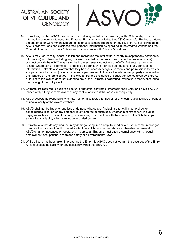- 15. Entrants agree that ASVO may contact them during and after the awarding of the Scholarship to seek information or comments about the Entrants. Entrants acknowledge that ASVO may refer Entries to external experts or other Government Departments for assessment, reporting or advice. Entrants acknowledge that ASVO collects; uses and discloses their personal information as specified in the Awards website and the Entry Kit, in order to process Entries and in accordance with Privacy Guidelines.
- 16. ASVO may use, modify, adapt, publish and reproduce the intellectual property (except for any confidential information) in Entries (including any material provided by Entrants in support of Entries at any time) in connection with the ASVO Awards or the broader general objectives of ASVO. Entrants warrant that (except where certain information is identified as confidential) Entries do not contain any confidential information. Entrants also warrant that they hold all necessary rights, consents and permissions to provide any personal information (including images of people) and to licence the intellectual property contained in their Entries on the terms set out in this clause. For the avoidance of doubt, the licence given by Entrants pursuant to this clause does not extend to any of the Entrants' background intellectual property that led to the making of the Entry itself.
- 17. Entrants are required to declare all actual or potential conflicts of interest in their Entry and advise ASVO immediately if they become aware of any conflict of interest that arises subsequently.
- 18. ASVO accepts no responsibility for late, lost or misdirected Entries or for any technical difficulties or periods of unavailability of the Awards website.
- 19. ASVO shall not be liable for any loss or damage whatsoever (including but not limited to direct or consequential loss) or for any personal injury suffered or sustained, whether in contract, tort (including negligence), breach of statutory duty, or otherwise, in connection with the conduct of the Scholarships except for any liability which cannot be excluded by law.
- 20. Entrants must not do anything that may damage, bring into disrepute or ridicule ASVO's name, messages or reputation, or attract public or media attention which may be prejudicial or otherwise detrimental to ASVO's name, messages or reputation. In particular, Entrants must ensure compliance with all equal employment, occupational health and safety and environmental laws.
- 21. While all care has been taken in preparing the Entry Kit, ASVO does not warrant the accuracy of the Entry Kit and accepts no liability for any deficiency within the Entry Kit.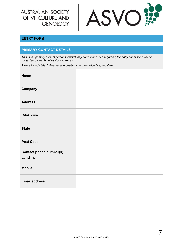

#### **ENTRY FORM**

#### **PRIMARY CONTACT DETAILS**

*This is the primary contact person for which any correspondence regarding the entry submission will be contacted by the Scholarships organisers.* 

*Please include title, full name, and position in organisation (if applicable)*

| <b>Name</b>                                |  |
|--------------------------------------------|--|
| Company                                    |  |
| <b>Address</b>                             |  |
| <b>City/Town</b>                           |  |
| <b>State</b>                               |  |
| <b>Post Code</b>                           |  |
| Contact phone number(s)<br><b>Landline</b> |  |
| <b>Mobile</b>                              |  |
| <b>Email address</b>                       |  |

7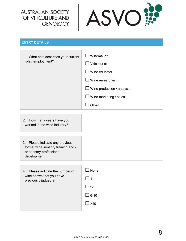

#### **ENTRY DETAILS**

| 1. What best describes your current<br>role / employment? | $\square$ Winemaker<br>$\Box$ Viticulturist |
|-----------------------------------------------------------|---------------------------------------------|
|                                                           | $\Box$ Wine educator                        |
|                                                           | $\square$ Wine researcher                   |
|                                                           | $\Box$ Wine production / analysis           |
|                                                           | $\Box$ Wine marketing / sales               |
|                                                           | Other                                       |

|--|

| 3. Please indicate any previous    |  |
|------------------------------------|--|
| formal wine sensory training and / |  |
| or sensory professional            |  |
| development                        |  |
|                                    |  |

| Please indicate the number of<br>4.<br>wine shows that you have<br>previously judged at: | None<br>l 11   |
|------------------------------------------------------------------------------------------|----------------|
|                                                                                          | $\Box$ 2-5     |
|                                                                                          | $\square$ 6-10 |
|                                                                                          | $\square$ >10  |
|                                                                                          |                |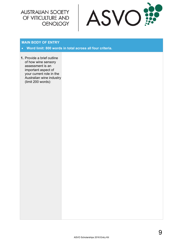

#### **MAIN BODY OF ENTRY**

- **Word limit: 800 words in total across all four criteria.**
- **1.** Provide a brief outline of how wine sensory assessment is an important aspect of your current role in the Australian wine industry (limit 200 words):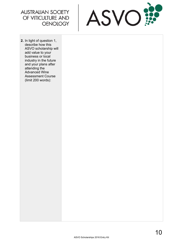

**2.** In light of question 1, describe how this ASVO scholarship will add value to your business or local industry in the future and your plans after attending the Advanced Wine Assessment Course (limit 200 words):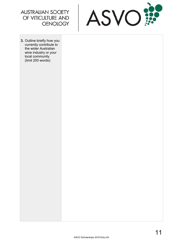



**3.** Outline briefly how you currently contribute to the wider Australian wine industry or your local community (limit 200 words):